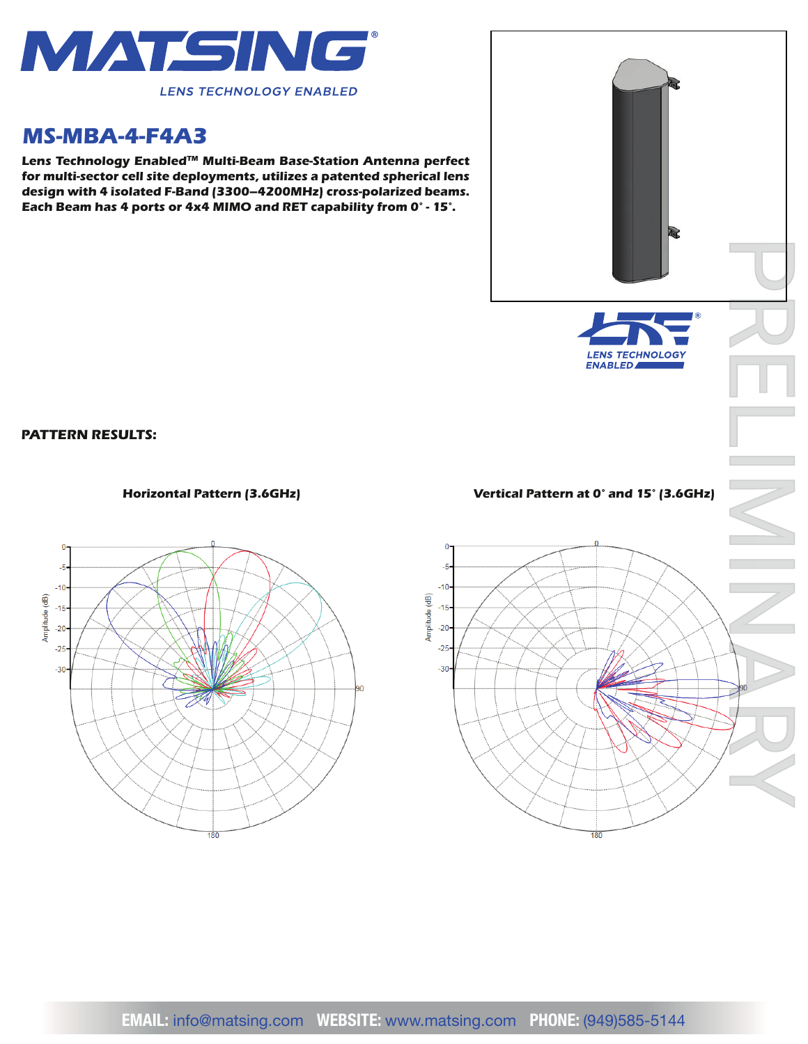

## *MS-MBA-4-F4A3*

*Lens Technology EnabledTM Multi-Beam Base-Station Antenna perfect for multi-sector cell site deployments, utilizes a patented spherical lens design with 4 isolated F-Band (3300–4200MHz) cross-polarized beams. Each Beam has 4 ports or 4x4 MIMO and RET capability from 0° - 15°.*



*PATTERN RESULTS:*



## *Horizontal Pattern (3.6GHz) Vertical Pattern at 0° and 15° (3.6GHz)*